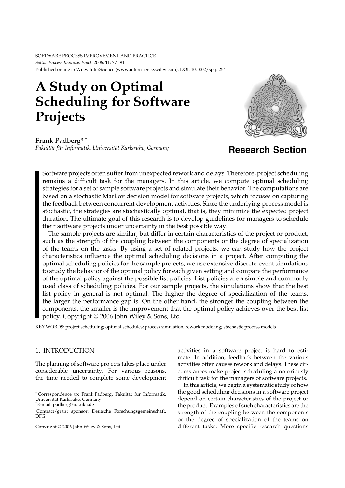# **A Study on Optimal Scheduling for Software Projects**

Frank Padberg\**,*† *Fakultat f ¨ ur Informatik, Universit ¨ at Karlsruhe, Germany ¨*



# **Research Section**

Software projects often suffer from unexpected rework and delays. Therefore, project scheduling remains a difficult task for the managers. In this article, we compute optimal scheduling strategies for a set of sample software projects and simulate their behavior. The computations are based on a stochastic Markov decision model for software projects, which focuses on capturing the feedback between concurrent development activities. Since the underlying process model is stochastic, the strategies are stochastically optimal, that is, they minimize the expected project duration. The ultimate goal of this research is to develop guidelines for managers to schedule their software projects under uncertainty in the best possible way.

The sample projects are similar, but differ in certain characteristics of the project or product, such as the strength of the coupling between the components or the degree of specialization of the teams on the tasks. By using a set of related projects, we can study how the project characteristics influence the optimal scheduling decisions in a project. After computing the optimal scheduling policies for the sample projects, we use extensive discrete-event simulations to study the behavior of the optimal policy for each given setting and compare the performance of the optimal policy against the possible list policies. List policies are a simple and commonly used class of scheduling policies. For our sample projects, the simulations show that the best list policy in general is not optimal. The higher the degree of specialization of the teams, the larger the performance gap is. On the other hand, the stronger the coupling between the components, the smaller is the improvement that the optimal policy achieves over the best list policy. Copyright © 2006 John Wiley & Sons, Ltd.

KEY WORDS: project scheduling; optimal schedules; process simulation; rework modeling; stochastic process models

# 1. INTRODUCTION

The planning of software projects takes place under considerable uncertainty. For various reasons, the time needed to complete some development

Copyright © 2006 John Wiley & Sons, Ltd.

activities in a software project is hard to estimate. In addition, feedback between the various activities often causes rework and delays. These circumstances make project scheduling a notoriously difficult task for the managers of software projects.

In this article, we begin a systematic study of how the good scheduling decisions in a software project depend on certain characteristics of the project or the product. Examples of such characteristics are the strength of the coupling between the components or the degree of specialization of the teams on different tasks. More specific research questions

<sup>\*</sup> Correspondence to: Frank Padberg, Fakultät für Informatik, Universität Karlsruhe, Germany

<sup>†</sup>E-mail: padberg@ira.uka.de

Contract/grant sponsor: Deutsche Forschungsgemeinschaft, DFG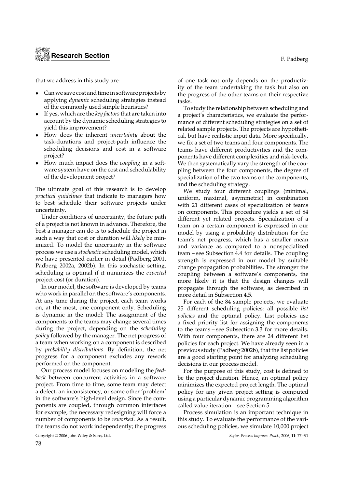

that we address in this study are:

- Can we save cost and time in software projects by applying *dynamic* scheduling strategies instead of the commonly used simple heuristics?
- If yes, which are the *key factors*that are taken into account by the dynamic scheduling strategies to yield this improvement?
- How does the inherent *uncertainty* about the task-durations and project-path influence the scheduling decisions and cost in a software project?
- How much impact does the *coupling* in a software system have on the cost and schedulability of the development project?

The ultimate goal of this research is to develop *practical guidelines* that indicate to managers how to best schedule their software projects under uncertainty.

Under conditions of uncertainty, the future path of a project is not known in advance. Therefore, the best a manager can do is to schedule the project in such a way that cost or duration will *likely* be minimized. To model the uncertainty in the software process we use a *stochastic* scheduling model, which we have presented earlier in detail (Padberg 2001, Padberg 2002a, 2002b). In this stochastic setting, scheduling is optimal if it minimizes the *expected* project cost (or duration).

In our model, the software is developed by teams who work in parallel on the software's components. At any time during the project, each team works on, at the most, one component only. Scheduling is dynamic in the model: The assignment of the components to the teams may change several times during the project, depending on the *scheduling policy* followed by the manager. The net progress of a team when working on a component is described by *probability distributions*. By definition, the net progress for a component excludes any rework performed on the component.

Our process model focuses on modeling the *feedback* between concurrent activities in a software project. From time to time, some team may detect a defect, an inconsistency, or some other 'problem' in the software's high-level design. Since the components are coupled, through common interfaces for example, the necessary redesigning will force a number of components to be *reworked*. As a result, the teams do not work independently; the progress

of one task not only depends on the productivity of the team undertaking the task but also on the progress of the other teams on their respective tasks.

To study the relationship between scheduling and a project's characteristics, we evaluate the performance of different scheduling strategies on a set of related sample projects. The projects are hypothetical, but have realistic input data. More specifically, we fix a set of two teams and four components. The teams have different productivities and the components have different complexities and risk-levels. We then systematically vary the strength of the coupling between the four components, the degree of specialization of the two teams on the components, and the scheduling strategy.

We study four different couplings (minimal, uniform, maximal, asymmetric) in combination with 21 different cases of specialization of teams on components. This procedure yields a set of 84 different yet related projects. Specialization of a team on a certain component is expressed in our model by using a probability distribution for the team's net progress, which has a smaller mean and variance as compared to a nonspecialized team – see Subsection 4.4 for details. The coupling strength is expressed in our model by suitable change propagation probabilities. The stronger the coupling between a software's components, the more likely it is that the design changes will propagate through the software, as described in more detail in Subsection 4.5.

For each of the 84 sample projects, we evaluate 25 different scheduling policies: all possible *list policies* and the optimal policy. List policies use a fixed priority list for assigning the components to the teams – see Subsection 3.3 for more details. With four components, there are 24 different list policies for each project. We have already seen in a previous study (Padberg 2002b), that the list policies are a good starting point for analyzing scheduling decisions in our process model.

For the purpose of this study, cost is defined to be the project duration. Hence, an optimal policy minimizes the expected project length. The optimal policy for any given project setting is computed using a particular dynamic programming algorithm called value iteration – see Section 5.

Process simulation is an important technique in this study. To evaluate the performance of the various scheduling policies, we simulate 10,000 project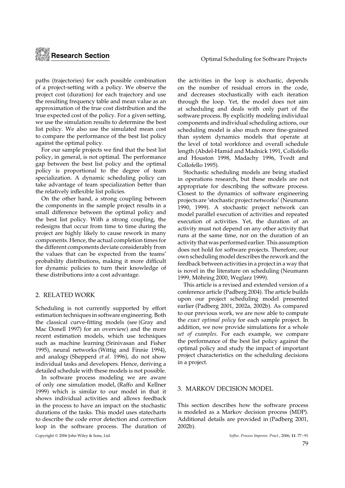# **Research Section**<br> **Research Section**<br>
Optimal Scheduling for Software Projects

paths (trajectories) for each possible combination of a project-setting with a policy. We observe the project cost (duration) for each trajectory and use the resulting frequency table and mean value as an approximation of the true cost distribution and the true expected cost of the policy. For a given setting, we use the simulation results to determine the best list policy. We also use the simulated mean cost to compare the performance of the best list policy against the optimal policy.

For our sample projects we find that the best list policy, in general, is not optimal. The performance gap between the best list policy and the optimal policy is proportional to the degree of team specialization. A dynamic scheduling policy can take advantage of team specialization better than the relatively inflexible list policies.

On the other hand, a strong coupling between the components in the sample project results in a small difference between the optimal policy and the best list policy. With a strong coupling, the redesigns that occur from time to time during the project are highly likely to cause rework in many components. Hence, the actual completion times for the different components deviate considerably from the values that can be expected from the teams' probability distributions, making it more difficult for dynamic policies to turn their knowledge of these distributions into a cost advantage.

# 2. RELATED WORK

Scheduling is not currently supported by effort estimation techniques in software engineering. Both the classical curve-fitting models (see (Gray and Mac Donell 1997) for an overview) and the more recent estimation models, which use techniques such as machine learning (Srinivasan and Fisher 1995), neural networks (Wittig and Finnie 1994), and analogy (Shepperd *et al*. 1996), do not show individual tasks and developers. Hence, deriving a detailed schedule with these models is not possible.

In software process modeling we are aware of only one simulation model, (Raffo and Kellner 1999) which is similar to our model in that it shows individual activities and allows feedback in the process to have an impact on the stochastic durations of the tasks. This model uses statecharts to describe the code error detection and correction loop in the software process. The duration of

Copyright 2006 John Wiley & Sons, Ltd. *Softw. Process Improve. Pract.*, 2006; **11**: 77–91

the activities in the loop is stochastic, depends on the number of residual errors in the code, and decreases stochastically with each iteration through the loop. Yet, the model does not aim at scheduling and deals with only part of the software process. By explicitly modeling individual components and individual scheduling actions, our scheduling model is also much more fine-grained than system dynamics models that operate at the level of total workforce and overall schedule length (Abdel-Hamid and Madnick 1991, Collofello and Houston 1998, Madachy 1996, Tvedt and Collofello 1995).

Stochastic scheduling models are being studied in operations research, but these models are not appropriate for describing the software process. Closest to the dynamics of software engineering projects are 'stochastic project networks' (Neumann 1990, 1999). A stochastic project network can model parallel execution of activities and repeated execution of activities. Yet, the duration of an activity must not depend on any other activity that runs at the same time, nor on the duration of an activity that was performed earlier. This assumption does not hold for software projects. Therefore, our own scheduling model describes the rework and the feedback between activities in a project in a way that is novel in the literature on scheduling (Neumann 1999, Möhring 2000, Weglarz 1999).

This article is a revised and extended version of a conference article (Padberg 2004). The article builds upon our project scheduling model presented earlier (Padberg 2001, 2002a, 2002b). As compared to our previous work, we are now able to compute the *exact optimal policy* for each sample project. In addition, we now provide simulations for a whole *set of examples*. For each example, we compare the performance of the best list policy against the optimal policy and study the impact of important project characteristics on the scheduling decisions in a project.

#### 3. MARKOV DECISION MODEL

This section describes how the software process is modeled as a Markov decision process (MDP). Additional details are provided in (Padberg 2001, 2002b).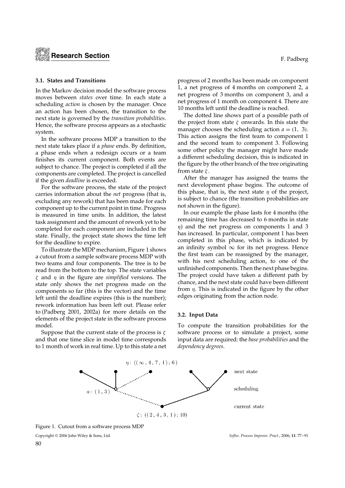# **Research Section**<br>
F. Padberg

### **3.1. States and Transitions**

In the Markov decision model the software process moves between *states* over time. In each state a scheduling *action* is chosen by the manager. Once an action has been chosen, the transition to the next state is governed by the *transition probabilities*. Hence, the software process appears as a stochastic system.

In the software process MDP a transition to the next state takes place if a *phase* ends. By definition, a phase ends when a redesign occurs or a team finishes its current component. Both events are subject to chance. The project is completed if all the components are completed. The project is cancelled if the given *deadline* is exceeded.

For the software process, the state of the project carries information about the *net* progress (that is, excluding any rework) that has been made for each component up to the current point in time. Progress is measured in time units. In addition, the latest task assignment and the amount of rework yet to be completed for each component are included in the state. Finally, the project state shows the time left for the deadline to expire.

To illustrate the MDP mechanism, Figure 1 shows a cutout from a sample software process MDP with two teams and four components. The tree is to be read from the bottom to the top. The state variables *ζ* and *η* in the figure are *simplified* versions. The state only shows the net progress made on the components so far (this is the vector) and the time left until the deadline expires (this is the number); rework information has been left out. Please refer to (Padberg 2001, 2002a) for more details on the elements of the project state in the software process model.

Suppose that the current state of the process is *ζ* and that one time slice in model time corresponds to 1 month of work in real time. Up to this state a net progress of 2 months has been made on component 1, a net progress of 4 months on component 2, a net progress of 3 months on component 3, and a net progress of 1 month on component 4. There are 10 months left until the deadline is reached.

The dotted line shows part of a possible path of the project from state *ζ* onwards. In this state the manager chooses the scheduling action  $a = (1, 3)$ . This action assigns the first team to component 1 and the second team to component 3. Following some other policy the manager might have made a different scheduling decision, this is indicated in the figure by the other branch of the tree originating from state *ζ* .

After the manager has assigned the teams the next development phase begins. The outcome of this phase, that is, the next state *η* of the project, is subject to chance (the transition probabilities are not shown in the figure).

In our example the phase lasts for 4 months (the remaining time has decreased to 6 months in state *η*) and the net progress on components 1 and 3 has increased. In particular, component 1 has been completed in this phase, which is indicated by an infinity symbol  $\infty$  for its net progress. Hence the first team can be reassigned by the manager, with his next scheduling action, to one of the unfinished components. Then the next phase begins. The project could have taken a different path by chance, and the next state could have been different from *η*. This is indicated in the figure by the other edges originating from the action node.

# **3.2. Input Data**

To compute the transition probabilities for the software process or to simulate a project, some input data are required: the *base probabilities* and the *dependency degrees*.



Figure 1. Cutout from a software process MDP Copyright 2006 John Wiley & Sons, Ltd. *Softw. Process Improve. Pract.*, 2006; **11**: 77–91 80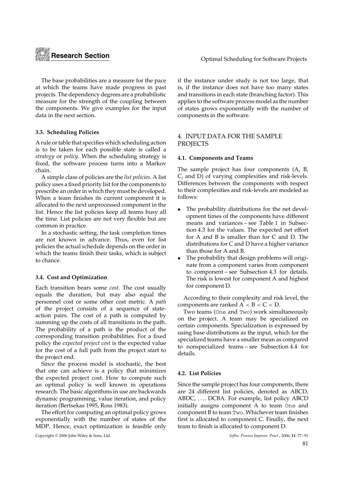

The base probabilities are a measure for the pace at which the teams have made progress in past projects. The dependency degrees are a probabilistic measure for the strength of the coupling between the components. We give examples for the input data in the next section.

#### **3.3. Scheduling Policies**

A rule or table that specifies which scheduling action is to be taken for each possible state is called a *strategy* or *policy*. When the scheduling strategy is fixed, the software process turns into a Markov chain.

A simple class of policies are the *list policies*. A list policy uses a fixed priority list for the components to prescribe an order in which they must be developed. When a team finishes its current component it is allocated to the next unprocessed component in the list. Hence the list policies keep all teams busy all the time. List policies are not very flexible but are common in practice.

In a stochastic setting, the task completion times are not known in advance. Thus, even for list policies the actual schedule depends on the order in which the teams finish their tasks, which is subject to chance.

### **3.4. Cost and Optimization**

Each transition bears some *cost*. The cost usually equals the duration, but may also equal the personnel cost or some other cost metric. A *path* of the project consists of a sequence of stateaction pairs. The cost of a path is computed by summing up the costs of all transitions in the path. The probability of a path is the product of the corresponding transition probabilities. For a fixed policy the *expected project cost* is the expected value for the cost of a full path from the project start to the project end.

Since the process model is stochastic, the best that one can achieve is a policy that minimizes the expected project cost. How to compute such an optimal policy is well known in operations research. The basic algorithms in use are backwards dynamic programming, value iteration, and policy iteration (Bertsekas 1995, Ross 1983).

The effort for computing an optimal policy grows exponentially with the number of states of the MDP. Hence, exact optimization is feasible only

if the instance under study is not too large, that is, if the instance does not have too many states and transitions in each state (branching factor). This applies to the software process model as the number of states grows exponentially with the number of components in the software.

# 4. INPUT DATA FOR THE SAMPLE PROJECTS

# **4.1. Components and Teams**

The sample project has four components (A, B, C, and D) of varying complexities and risk-levels. Differences between the components with respect to their complexities and risk-levels are modeled as follows:

- The probability distributions for the net development times of the components have different means and variances – see Table 1 in Subsection 4.3 for the values. The expected net effort for A and B is smaller than for C and D. The distributions for C and D have a higher variance than those for A and B.
- The probability that design problems will originate from a component varies from component to component – see Subsection 4.3 for details. The risk is lowest for component A and highest for component D.

According to their complexity and risk level, the components are ranked A *<* B *<* C *<* D.

Two teams (One and Two) work simultaneously on the project. A team may be specialized on certain components. Specialization is expressed by using base distributions as the input, which for the specialized teams have a smaller mean as compared to nonspecialized teams – see Subsection 4.4 for details.

#### **4.2. List Policies**

Since the sample project has four components, there are 24 different list policies, denoted as ABCD, ABDC, *...*. DCBA. For example, list policy ABCD initially assigns component A to team One and component B to team Two. Whichever team finishes first is allocated to component C. Finally, the next team to finish is allocated to component D.

Copyright 2006 John Wiley & Sons, Ltd. *Softw. Process Improve. Pract.*, 2006; **11**: 77–91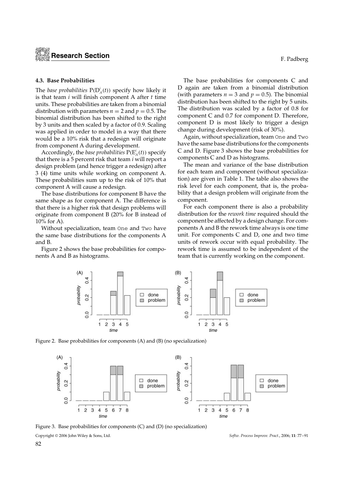# **Research Section**<br>
F. Padberg

### **4.3. Base Probabilities**

The *base probabilities*  $P(D_A^i(t))$  specify how likely it is that team *i* will finish component A after *t* time units. These probabilities are taken from a binomial distribution with parameters  $n = 2$  and  $p = 0.5$ . The binomial distribution has been shifted to the right by 3 units and then scaled by a factor of 0.9. Scaling was applied in order to model in a way that there would be a 10% risk that a redesign will originate from component A during development.

Accordingly, the *base probabilities*  $P(E_A^i(t))$  specify that there is a 5 percent risk that team *i* will report a design problem (and hence trigger a redesign) after 3 (4) time units while working on component A. These probabilities sum up to the risk of 10% that component A will cause a redesign.

The base distributions for component B have the same shape as for component A. The difference is that there is a higher risk that design problems will originate from component B (20% for B instead of 10% for A).

Without specialization, team One and Two have the same base distributions for the components A and B.

Figure 2 shows the base probabilities for components A and B as histograms.

The base probabilities for components C and D again are taken from a binomial distribution (with parameters  $n = 3$  and  $p = 0.5$ ). The binomial distribution has been shifted to the right by 5 units. The distribution was scaled by a factor of 0.8 for component C and 0.7 for component D. Therefore, component D is most likely to trigger a design change during development (risk of 30%).

Again, without specialization, team One and Two have the same base distributions for the components C and D. Figure 3 shows the base probabilities for components C and D as histograms.

The mean and variance of the base distribution for each team and component (without specialization) are given in Table 1. The table also shows the risk level for each component, that is, the probability that a design problem will originate from the component.

For each component there is also a probability distribution for the *rework time* required should the component be affected by a design change. For components A and B the rework time always is one time unit. For components C and D, one and two time units of rework occur with equal probability. The rework time is assumed to be independent of the team that is currently working on the component.



Figure 2. Base probabilities for components (A) and (B) (no specialization)



Figure 3. Base probabilities for components (C) and (D) (no specialization)

82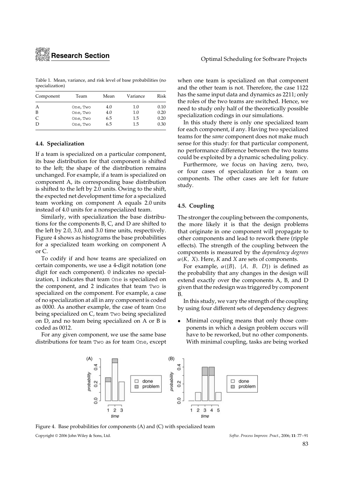

Table 1. Mean, variance, and risk level of base probabilities (no specialization)

| Component | Team     | Mean | Variance | Risk |
|-----------|----------|------|----------|------|
| А         | One, Two | 4.0  | 1.0      | 0.10 |
| B         | One, Two | 4.0  | 1.0      | 0.20 |
| C         | One, Two | 6.5  | 1.5      | 0.20 |
| D         | One, Two | 6.5  | 1.5      | 0.30 |

#### **4.4. Specialization**

If a team is specialized on a particular component, its base distribution for that component is shifted to the left; the shape of the distribution remains unchanged. For example, if a team is specialized on component A, its corresponding base distribution is shifted to the left by 2.0 units. Owing to the shift, the expected net development time for a specialized team working on component A equals 2.0 units instead of 4.0 units for a nonspecialized team.

Similarly, with specialization the base distributions for the components B, C, and D are shifted to the left by 2.0, 3.0, and 3.0 time units, respectively. Figure 4 shows as histograms the base probabilities for a specialized team working on component A or C.

To codify if and how teams are specialized on certain components, we use a 4-digit notation (one digit for each component). 0 indicates no specialization, 1 indicates that team One is specialized on the component, and 2 indicates that team Two is specialized on the component. For example, a case of no specialization at all in any component is coded as 0000. As another example, the case of team One being specialized on C, team Two being specialized on D, and no team being specialized on A or B is coded as 0012.

For any given component, we use the same base distributions for team Two as for team One, except when one team is specialized on that component and the other team is not. Therefore, the case 1122 has the same input data and dynamics as 2211; only the roles of the two teams are switched. Hence, we need to study only half of the theoretically possible specialization codings in our simulations.

In this study there is only one specialized team for each component, if any. Having two specialized teams for the *same* component does not make much sense for this study: for that particular component, no performance difference between the two teams could be exploited by a dynamic scheduling policy.

Furthermore, we focus on having zero, two, or four cases of specialization for a team on components. The other cases are left for future study.

# **4.5. Coupling**

The stronger the coupling between the components, the more likely it is that the design problems that originate in one component will propagate to other components and lead to rework there (ripple effects). The strength of the coupling between the components is measured by the *dependency degrees*  $\alpha(K, X)$ . Here, *K* and *X* are sets of components.

For example,  $\alpha({B}, {A, B, D})$  is defined as the probability that any changes in the design will extend exactly over the components A, B, and D given that the redesign was triggered by component B.

In this study, we vary the strength of the coupling by using four different sets of dependency degrees:

• Minimal coupling means that only those components in which a design problem occurs will have to be reworked, but no other components. With minimal coupling, tasks are being worked



Figure 4. Base probabilities for components (A) and (C) with specialized team Copyright 2006 John Wiley & Sons, Ltd. *Softw. Process Improve. Pract.*, 2006; **11**: 77–91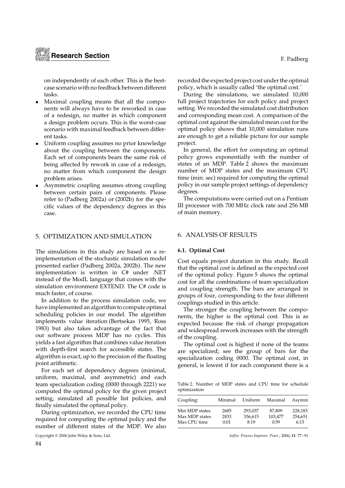# **Research Section**<br>**Research Section**

on independently of each other. This is the bestcase scenario with no feedback between different tasks.

- Maximal coupling means that all the components will always have to be reworked in case of a redesign, no matter in which component a design problem occurs. This is the worst-case scenario with maximal feedback between different tasks.
- Uniform coupling assumes no prior knowledge about the coupling between the components. Each set of components bears the same risk of being affected by rework in case of a redesign, no matter from which component the design problem arises.
- Asymmetric coupling assumes strong coupling between certain pairs of components. Please refer to (Padberg 2002a) or (2002b) for the specific values of the dependency degrees in this case.

# 5. OPTIMIZATION AND SIMULATION

The simulations in this study are based on a reimplementation of the stochastic simulation model presented earlier (Padberg 2002a, 2002b). The new implementation is written in C# under .NET instead of the ModL language that comes with the simulation environment EXTEND. The C# code is much faster, of course.

In addition to the process simulation code, we have implemented an algorithm to compute optimal scheduling policies in our model. The algorithm implements value iteration (Bertsekas 1995, Ross 1983) but also takes advantage of the fact that our software process MDP has no cycles. This yields a fast algorithm that combines value iteration with depth-first search for accessible states. The algorithm is exact, up to the precision of the floating point arithmetic.

For each set of dependency degrees (minimal, uniform, maximal, and asymmetric) and each team specialization coding (0000 through 2221) we computed the optimal policy for the given project setting, simulated all possible list policies, and finally simulated the optimal policy.

During optimization, we recorded the CPU time required for computing the optimal policy and the number of different states of the MDP. We also recorded the expected project cost under the optimal policy, which is usually called 'the optimal cost.'

During the simulations, we simulated 10,000 full project trajectories for each policy and project setting. We recorded the simulated cost distribution and corresponding mean cost. A comparison of the optimal cost against the simulated mean cost for the optimal policy shows that 10,000 simulation runs are enough to get a reliable picture for our sample project.

In general, the effort for computing an optimal policy grows exponentially with the number of states of an MDP. Table 2 shows the maximum number of MDP states and the maximum CPU time (min: sec) required for computing the optimal policy in our sample project settings of dependency degrees.

The computations were carried out on a Pentium III processor with 700 MHz clock rate and 256 MB of main memory.

# 6. ANALYSIS OF RESULTS

### **6.1. Optimal Cost**

Cost equals project duration in this study. Recall that the optimal cost is defined as the expected cost of the optimal policy. Figure 5 shows the optimal cost for all the combinations of team specialization and coupling strength. The bars are arranged in groups of four, corresponding to the four different couplings studied in this article.

The stronger the coupling between the components, the higher is the optimal cost. This is as expected because the risk of change propagation and widespread rework increases with the strength of the coupling.

The optimal cost is highest if none of the teams are specialized; see the group of bars for the specialization coding 0000. The optimal cost, in general, is lowest if for each component there is a

Table 2. Number of MDP states and CPU time for schedule optimization

| Coupling:      | Minimal | Uniform | Maximal | Asymm   |
|----------------|---------|---------|---------|---------|
| Min MDP states | 2685    | 293.037 | 87.809  | 228.183 |
| Max MDP states | 2833    | 336,615 | 103,477 | 254,651 |
| Max CPU time   | 0:01    | 8:19    | 0:59    | 6:13    |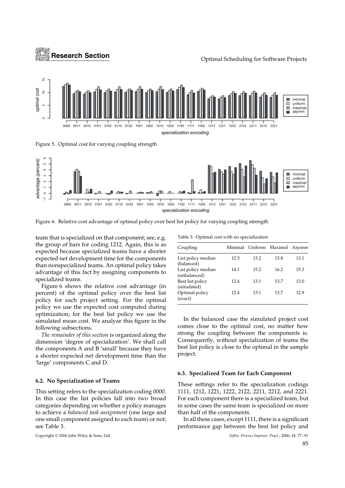**Research Section**<br>
Optimal Scheduling for Software Projects







Figure 6. Relative cost advantage of optimal policy over best list policy for varying coupling strength

team that is specialized on that component; see, e.g. the group of bars for coding 1212. Again, this is as expected because specialized teams have a shorter expected net development time for the components than nonspecialized teams. An optimal policy takes advantage of this fact by assigning components to specialized teams.

Figure 6 shows the relative cost advantage (in percent) of the optimal policy over the best list policy for each project setting. For the optimal policy we use the expected cost computed during optimization; for the best list policy we use the simulated mean cost. We analyze this figure in the following subsections.

*The remainder of this section* is organized along the dimension 'degree of specialization'. We shall call the components A and B 'small' because they have a shorter expected net development time than the 'large' components C and D.

### **6.2. No Specialization of Teams**

This setting refers to the specialization coding 0000. In this case the list policies fall into two broad categories depending on whether a policy manages to achieve a *balanced task assignment* (one large and one small component assigned to each team) or not; see Table 3.

Copyright 2006 John Wiley & Sons, Ltd. *Softw. Process Improve. Pract.*, 2006; **11**: 77–91

Table 3. Optimal cost with no specialization

| Coupling:                          |      | Minimal Uniform Maximal |      | Asymm |
|------------------------------------|------|-------------------------|------|-------|
| List policy median<br>(balanced)   | 12.5 | 13.2                    | 13.8 | 13.1  |
| List policy median<br>(unbalanced) | 14.1 | 15.2                    | 16.2 | 15.3  |
| Best list policy<br>(simulated)    | 12.4 | 13.1                    | 13.7 | 13.0  |
| Optimal policy<br>(exact)          | 12.4 | 13.1                    | 13.7 | 12.9  |

In the balanced case the simulated project cost comes close to the optimal cost, no matter how strong the coupling between the components is. Consequently, without specialization of teams the best list policy is close to the optimal in the sample project.

### **6.3. Specialized Team for Each Component**

These settings refer to the specialization codings 1111, 1212, 1221, 1222, 2122, 2211, 2212, and 2221. For each component there is a specialized team, but in some cases the same team is specialized on more than half of the components.

In all these cases, except 1111, there is a significant performance gap between the best list policy and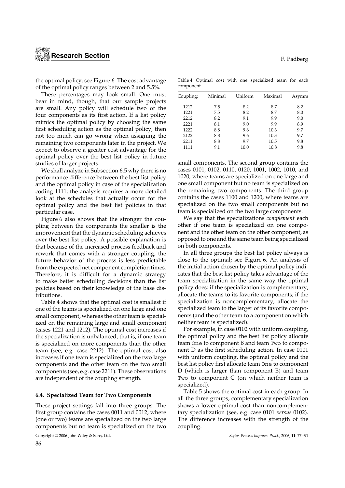# **Research Section**<br> **Research Section**

the optimal policy; see Figure 6. The cost advantage of the optimal policy ranges between 2 and 5.5%.

These percentages may look small. One must bear in mind, though, that our sample projects are small. Any policy will schedule two of the four components as its first action. If a list policy mimics the optimal policy by choosing the same first scheduling action as the optimal policy, then not too much can go wrong when assigning the remaining two components later in the project. We expect to observe a greater cost advantage for the optimal policy over the best list policy in future studies of larger projects.

We shall analyze in Subsection 6.5 why there is no performance difference between the best list policy and the optimal policy in case of the specialization coding 1111; the analysis requires a more detailed look at the schedules that actually occur for the optimal policy and the best list policies in that particular case.

Figure 6 also shows that the stronger the coupling between the components the smaller is the improvement that the dynamic scheduling achieves over the best list policy. A possible explanation is that because of the increased process feedback and rework that comes with a stronger coupling, the future behavior of the process is less predictable from the expected net component completion times. Therefore, it is difficult for a dynamic strategy to make better scheduling decisions than the list policies based on their knowledge of the base distributions.

Table 4 shows that the optimal cost is smallest if one of the teams is specialized on one large and one small component, whereas the other team is specialized on the remaining large and small component (cases 1221 and 1212). The optimal cost increases if the specialization is unbalanced, that is, if one team is specialized on more components than the other team (see, e.g. case 2212). The optimal cost also increases if one team is specialized on the two large components and the other team on the two small components (see, e.g. case 2211). These observations are independent of the coupling strength.

# **6.4. Specialized Team for Two Components**

These project settings fall into three groups. The first group contains the cases 0011 and 0012, where (one or two) teams are specialized on the two large components but no team is specialized on the two

Table 4. Optimal cost with one specialized team for each component

| Coupling: | Minimal | Uniform | Maximal | Asymm |
|-----------|---------|---------|---------|-------|
| 1212      | 7.5     | 8.2     | 8.7     | 8.2   |
| 1221      | 7.5     | 8.2     | 8.7     | 8.0   |
| 2212      | 8.2     | 9.1     | 9.9     | 9.0   |
| 2221      | 8.1     | 9.0     | 9.9     | 8.9   |
| 1222      | 8.8     | 9.6     | 10.3    | 9.7   |
| 2122      | 8.8     | 9.6     | 10.3    | 9.7   |
| 2211      | 8.8     | 9.7     | 10.5    | 9.8   |
| 1111      | 9.1     | 10.0    | 10.8    | 9.8   |

small components. The second group contains the cases 0101, 0102, 0110, 0120, 1001, 1002, 1010, and 1020, where teams are specialized on one large and one small component but no team is specialized on the remaining two components. The third group contains the cases 1100 and 1200, where teams are specialized on the two small components but no team is specialized on the two large components.

We say that the specializations *complement* each other if one team is specialized on one component and the other team on the other component, as opposed to one and the same team being specialized on both components.

In all three groups the best list policy always is close to the optimal; see Figure 6. An analysis of the initial action chosen by the optimal policy indicates that the best list policy takes advantage of the team specialization in the same way the optimal policy does: if the specialization is complementary, allocate the teams to its favorite components; if the specialization is noncomplementary, allocate the specialized team to the larger of its favorite components (and the other team to a component on which neither team is specialized).

For example, in case 0102 with uniform coupling, the optimal policy and the best list policy allocate team One to component B and team Two to component D as the first scheduling action. In case 0101 with uniform coupling, the optimal policy and the best list policy first allocate team One to component D (which is larger than component B) and team Two to component C (on which neither team is specialized).

Table 5 shows the optimal cost in each group. In all the three groups, complementary specialization shows a lower optimal cost than noncomplementary specialization (see, e.g. case 0101 *versus* 0102). The difference increases with the strength of the coupling.

Copyright 2006 John Wiley & Sons, Ltd. *Softw. Process Improve. Pract.*, 2006; **11**: 77–91 86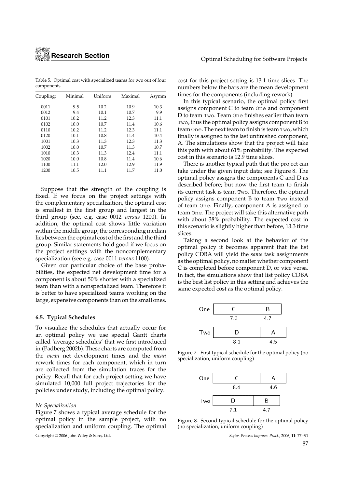

Table 5. Optimal cost with specialized teams for two out of four components

| Coupling: | Minimal | Uniform | Maximal | Asymm |
|-----------|---------|---------|---------|-------|
| 0011      | 9.5     | 10.2    | 10.9    | 10.3  |
| 0012      | 9.4     | 10.1    | 10.7    | 9.9   |
| 0101      | 10.2    | 11.2    | 12.3    | 11.1  |
| 0102      | 10.0    | 10.7    | 11.4    | 10.6  |
| 0110      | 10.2    | 11.2    | 12.3    | 11.1  |
| 0120      | 10.1    | 10.8    | 11.4    | 10.4  |
| 1001      | 10.3    | 11.3    | 12.3    | 11.3  |
| 1002      | 10.0    | 10.7    | 11.3    | 10.7  |
| 1010      | 10.3    | 11.3    | 12.4    | 11.1  |
| 1020      | 10.0    | 10.8    | 11.4    | 10.6  |
| 1100      | 11.1    | 12.0    | 12.9    | 11.9  |
| 1200      | 10.5    | 11.1    | 11.7    | 11.0  |

Suppose that the strength of the coupling is fixed. If we focus on the project settings with the complementary specialization, the optimal cost is smallest in the first group and largest in the third group (see, e.g. case 0012 *versus* 1200). In addition, the optimal cost shows little variation within the middle group; the corresponding median lies between the optimal cost of the first and the third group. Similar statements hold good if we focus on the project settings with the noncomplementary specialization (see e.g. case 0011 *versus* 1100).

Given our particular choice of the base probabilities, the expected net development time for a component is about 50% shorter with a specialized team than with a nonspecialized team. Therefore it is better to have specialized teams working on the large, expensive components than on the small ones.

### **6.5. Typical Schedules**

To visualize the schedules that actually occur for an optimal policy we use special Gantt charts called 'average schedules' that we first introduced in (Padberg 2002b). These charts are computed from the *mean* net development times and the *mean* rework times for each component, which in turn are collected from the simulation traces for the policy. Recall that for each project setting we have simulated 10,000 full project trajectories for the policies under study, including the optimal policy.

#### *No Specialization*

Figure 7 shows a typical average schedule for the optimal policy in the sample project, with no specialization and uniform coupling. The optimal

cost for this project setting is 13.1 time slices. The numbers below the bars are the mean development times for the components (including rework).

In this typical scenario, the optimal policy first assigns component C to team One and component D to team Two. Team One finishes earlier than team Two, thus the optimal policy assigns component B to team One. The next team to finish is team Two, which finally is assigned to the last unfinished component, A. The simulations show that the project will take this path with about 61% probability. The expected cost in this scenario is 12.9 time slices.

There is another typical path that the project can take under the given input data; see Figure 8. The optimal policy assigns the components C and D as described before; but now the first team to finish its current task is team Two. Therefore, the optimal policy assigns component B to team Two instead of team One. Finally, component A is assigned to team One. The project will take this alternative path with about 38% probability. The expected cost in this scenario is slightly higher than before, 13.3 time slices.

Taking a second look at the behavior of the optimal policy it becomes apparent that the list policy CDBA will yield the *same* task assignments as the optimal policy, no matter whether component C is completed before component D, or vice versa. In fact, the simulations show that list policy CDBA is the best list policy in this setting and achieves the same expected cost as the optimal policy.

| One |     | R   |
|-----|-----|-----|
|     | 7.0 | 4.7 |
| Two | I)  | ≏   |
|     | 8.1 | 4.5 |

Figure 7. First typical schedule for the optimal policy (no specialization, uniform coupling)



Figure 8. Second typical schedule for the optimal policy (no specialization, uniform coupling)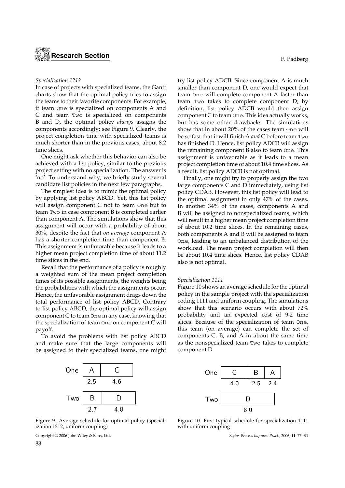# **Research Section**<br>
F. Padberg

#### *Specialization 1212*

In case of projects with specialized teams, the Gantt charts show that the optimal policy tries to assign the teams to their favorite components. For example, if team One is specialized on components A and C and team Two is specialized on components B and D, the optimal policy *always* assigns the components accordingly; see Figure 9. Clearly, the project completion time with specialized teams is much shorter than in the previous cases, about 8.2 time slices.

One might ask whether this behavior can also be achieved with a list policy, similar to the previous project setting with no specialization. The answer is 'no'. To understand why, we briefly study several candidate list policies in the next few paragraphs.

The simplest idea is to mimic the optimal policy by applying list policy ABCD. Yet, this list policy will assign component C not to team One but to team Two in case component B is completed earlier than component A. The simulations show that this assignment will occur with a probability of about 30%, despite the fact that *on average* component A has a shorter completion time than component B. This assignment is unfavorable because it leads to a higher mean project completion time of about 11.2 time slices in the end.

Recall that the performance of a policy is roughly a weighted sum of the mean project completion times of its possible assignments, the weights being the probabilities with which the assignments occur. Hence, the unfavorable assignment drags down the total performance of list policy ABCD. Contrary to list policy ABCD, the optimal policy will assign component C to team One in any case, knowing that the specialization of team One on component C will payoff.

To avoid the problems with list policy ABCD and make sure that the large components will be assigned to their specialized teams, one might



Figure 9. Average schedule for optimal policy (specialization 1212, uniform coupling)

Copyright 2006 John Wiley & Sons, Ltd. *Softw. Process Improve. Pract.*, 2006; **11**: 77–91 88

try list policy ADCB. Since component A is much smaller than component D, one would expect that team One will complete component A faster than team Two takes to complete component D; by definition, list policy ADCB would then assign component C to team One. This idea actually works, but has some other drawbacks. The simulations show that in about 20% of the cases team One will be so fast that it will finish A *and* C before team Two has finished D. Hence, list policy ADCB will assign the remaining component B also to team One. This assignment is unfavorable as it leads to a mean project completion time of about 10.4 time slices. As a result, list policy ADCB is not optimal.

Finally, one might try to properly assign the two large components C and D immediately, using list policy CDAB. However, this list policy will lead to the optimal assignment in only 47% of the cases. In another 34% of the cases, components A and B will be assigned to nonspecialized teams, which will result in a higher mean project completion time of about 10.2 time slices. In the remaining cases, both components A and B will be assigned to team One, leading to an unbalanced distribution of the workload. The mean project completion will then be about 10.4 time slices. Hence, list policy CDAB also is not optimal.

# *Specialization 1111*

Figure 10 shows an average schedule for the optimal policy in the sample project with the specialization coding 1111 and uniform coupling. The simulations show that this scenario occurs with about 72% probability and an expected cost of 9.2 time slices. Because of the specialization of team One, this team (on average) can complete the set of components C, B, and A in about the same time as the nonspecialized team Two takes to complete component D.



Figure 10. First typical schedule for specialization 1111 with uniform coupling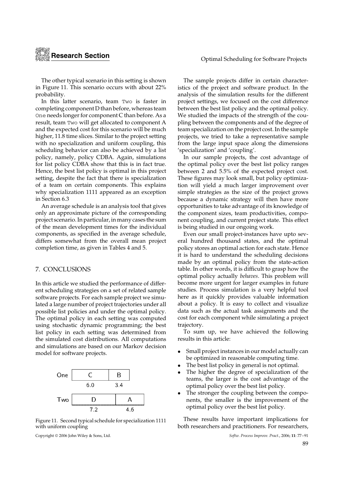**Research Section**<br>
Optimal Scheduling for Software Projects

The other typical scenario in this setting is shown in Figure 11. This scenario occurs with about 22% probability.

In this latter scenario, team Two is faster in completing component D than before, whereas team One needs longer for component C than before. As a result, team Two will get allocated to component A and the expected cost for this scenario will be much higher, 11.8 time slices. Similar to the project setting with no specialization and uniform coupling, this scheduling behavior can also be achieved by a list policy, namely, policy CDBA. Again, simulations for list policy CDBA show that this is in fact true. Hence, the best list policy is optimal in this project setting, despite the fact that there is specialization of a team on certain components. This explains why specialization 1111 appeared as an exception in Section 6.3

An average schedule is an analysis tool that gives only an approximate picture of the corresponding project scenario. In particular, in many cases the sum of the mean development times for the individual components, as specified in the average schedule, differs somewhat from the overall mean project completion time, as given in Tables 4 and 5.

# 7. CONCLUSIONS

In this article we studied the performance of different scheduling strategies on a set of related sample software projects. For each sample project we simulated a large number of project trajectories under all possible list policies and under the optimal policy. The optimal policy in each setting was computed using stochastic dynamic programming; the best list policy in each setting was determined from the simulated cost distributions. All computations and simulations are based on our Markov decision model for software projects.



Figure 11. Second typical schedule for specialization 1111 with uniform coupling

The sample projects differ in certain characteristics of the project and software product. In the analysis of the simulation results for the different project settings, we focused on the cost difference between the best list policy and the optimal policy. We studied the impacts of the strength of the coupling between the components and of the degree of team specialization on the project cost. In the sample projects, we tried to take a representative sample from the large input space along the dimensions 'specialization' and 'coupling'.

In our sample projects, the cost advantage of the optimal policy over the best list policy ranges between 2 and 5.5% of the expected project cost. These figures may look small, but policy optimization will yield a much larger improvement over simple strategies as the size of the project grows because a dynamic strategy will then have more opportunities to take advantage of its knowledge of the component sizes, team productivities, component coupling, and current project state. This effect is being studied in our ongoing work.

Even our small project-instances have upto several hundred thousand states, and the optimal policy stores an optimal action for each state. Hence it is hard to understand the scheduling decisions made by an optimal policy from the state-action table. In other words, it is difficult to grasp how the optimal policy actually *behaves*. This problem will become more urgent for larger examples in future studies. Process simulation is a very helpful tool here as it quickly provides valuable information about a policy. It is easy to collect and visualize data such as the actual task assignments and the cost for each component while simulating a project trajectory.

To sum up, we have achieved the following results in this article:

- Small project instances in our model actually can be optimized in reasonable computing time.
- The best list policy in general is not optimal.
- The higher the degree of specialization of the teams, the larger is the cost advantage of the optimal policy over the best list policy.
- The stronger the coupling between the components, the smaller is the improvement of the optimal policy over the best list policy.

These results have important implications for both researchers and practitioners. For researchers,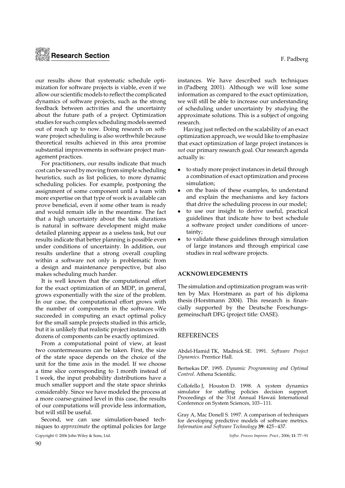# **Research Section**<br> **Research Section**

our results show that systematic schedule optimization for software projects is viable, even if we allow our scientific models to reflect the complicated dynamics of software projects, such as the strong feedback between activities and the uncertainty about the future path of a project. Optimization studies for such complex scheduling models seemed out of reach up to now. Doing research on software project scheduling is also worthwhile because theoretical results achieved in this area promise substantial improvements in software project management practices.

For practitioners, our results indicate that much cost can be saved by moving from simple scheduling heuristics, such as list policies, to more dynamic scheduling policies. For example, postponing the assignment of some component until a team with more expertise on that type of work is available can prove beneficial, even if some other team is ready and would remain idle in the meantime. The fact that a high uncertainty about the task durations is natural in software development might make detailed planning appear as a useless task, but our results indicate that better planning is possible even under conditions of uncertainty. In addition, our results underline that a strong overall coupling within a software not only is problematic from a design and maintenance perspective, but also makes scheduling much harder.

It is well known that the computational effort for the exact optimization of an MDP, in general, grows exponentially with the size of the problem. In our case, the computational effort grows with the number of components in the software. We succeeded in computing an exact optimal policy for the small sample projects studied in this article, but it is unlikely that realistic project instances with dozens of components can be exactly optimized.

From a computational point of view, at least two countermeasures can be taken. First, the size of the state space depends on the choice of the unit for the time axis in the model. If we choose a time slice corresponding to 1 month instead of 1 week, the input probability distributions have a much smaller support and the state space shrinks considerably. Since we have modeled the process at a more coarse-grained level in this case, the results of our computations will provide less information, but will still be useful.

Second, we can use simulation-based techniques to *approximate* the optimal policies for large

Copyright 2006 John Wiley & Sons, Ltd. *Softw. Process Improve. Pract.*, 2006; **11**: 77–91

instances. We have described such techniques in (Padberg 2001). Although we will lose some information as compared to the exact optimization, we will still be able to increase our understanding of scheduling under uncertainty by studying the approximate solutions. This is a subject of ongoing research.

Having just reflected on the scalability of an exact optimization approach, we would like to emphasize that exact optimization of large project instances is *not* our primary research goal. Our research agenda actually is:

- to study more project instances in detail through a combination of exact optimization and process simulation;
- on the basis of these examples, to understand and explain the mechanisms and key factors that drive the scheduling process in our model;
- to use our insight to derive useful, practical guidelines that indicate how to best schedule a software project under conditions of uncertainty;
- to validate these guidelines through simulation of large instances and through empirical case studies in real software projects.

#### **ACKNOWLEDGEMENTS**

The simulation and optimization program was written by Max Horstmann as part of his diploma thesis (Horstmann 2004). This research is financially supported by the Deutsche Forschungsgemeinschaft DFG (project title: OASE).

# **REFERENCES**

Abdel-Hamid TK, Madnick SE. 1991. *Software Project Dynamics*. Prentice Hall.

Bertsekas DP. 1995. *Dynamic Programming and Optimal Control*. Athena Scientific.

Collofello J, Houston D. 1998. A system dynamics simulator for staffing policies decision support. Proceedings of the 31st Annual Hawaii International Conference on System Sciences, 103–111.

Gray A, Mac Donell S. 1997. A comparison of techniques for developing predictive models of software metrics. *Information and Software Technology* **39**: 425–437.